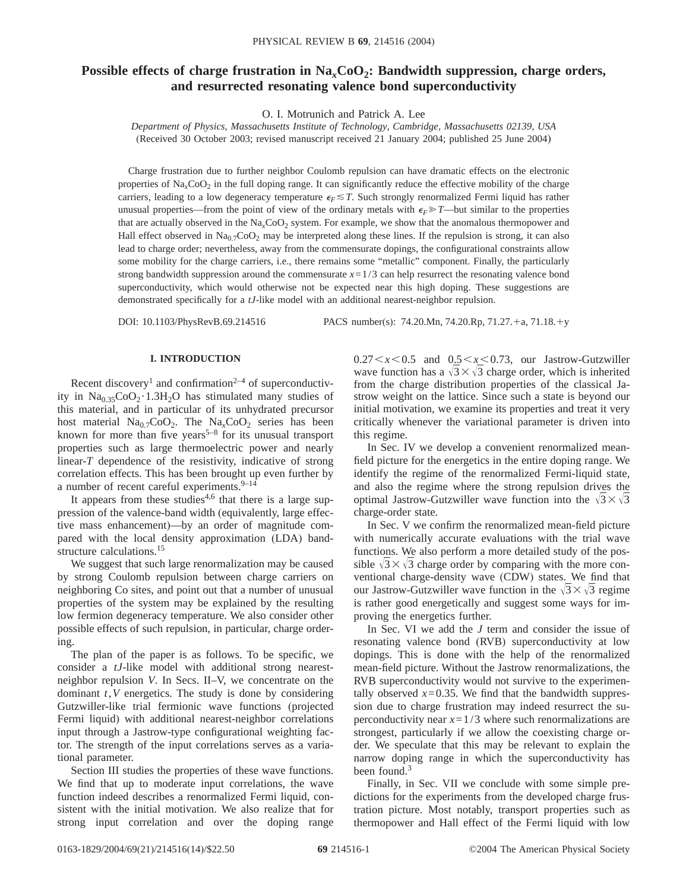# Possible effects of charge frustration in Na<sub>*x*</sub>CoO<sub>2</sub>: Bandwidth suppression, charge orders, **and resurrected resonating valence bond superconductivity**

O. I. Motrunich and Patrick A. Lee

*Department of Physics, Massachusetts Institute of Technology, Cambridge, Massachusetts 02139, USA* (Received 30 October 2003; revised manuscript received 21 January 2004; published 25 June 2004)

Charge frustration due to further neighbor Coulomb repulsion can have dramatic effects on the electronic properties of  $Na, CoO<sub>2</sub>$  in the full doping range. It can significantly reduce the effective mobility of the charge carriers, leading to a low degeneracy temperature  $\epsilon_F \leq T$ . Such strongly renormalized Fermi liquid has rather unusual properties—from the point of view of the ordinary metals with  $\epsilon_F \gg T$ —but similar to the properties that are actually observed in the  $Na<sub>x</sub>Co<sub>2</sub>$  system. For example, we show that the anomalous thermopower and Hall effect observed in  $\text{Na}_{0.7}\text{CoO}_2$  may be interpreted along these lines. If the repulsion is strong, it can also lead to charge order; nevertheless, away from the commensurate dopings, the configurational constraints allow some mobility for the charge carriers, i.e., there remains some "metallic" component. Finally, the particularly strong bandwidth suppression around the commensurate  $x = 1/3$  can help resurrect the resonating valence bond superconductivity, which would otherwise not be expected near this high doping. These suggestions are demonstrated specifically for a *tJ*-like model with an additional nearest-neighbor repulsion.

DOI: 10.1103/PhysRevB.69.214516 PACS number(s): 74.20.Mn, 74.20.Rp, 71.27.+a, 71.18.+y

## **I. INTRODUCTION**

Recent discovery<sup>1</sup> and confirmation<sup>2-4</sup> of superconductivity in  $\text{Na}_{0.35}\text{CoO}_2 \cdot 1.3\text{H}_2\text{O}$  has stimulated many studies of this material, and in particular of its unhydrated precursor host material  $Na<sub>0.7</sub>CoO<sub>2</sub>$ . The  $Na<sub>x</sub>CoO<sub>2</sub>$  series has been known for more than five years<sup>5-8</sup> for its unusual transport properties such as large thermoelectric power and nearly linear-*T* dependence of the resistivity, indicative of strong correlation effects. This has been brought up even further by a number of recent careful experiments. $9-14$ 

It appears from these studies<sup>4,6</sup> that there is a large suppression of the valence-band width (equivalently, large effective mass enhancement)—by an order of magnitude compared with the local density approximation (LDA) bandstructure calculations.15

We suggest that such large renormalization may be caused by strong Coulomb repulsion between charge carriers on neighboring Co sites, and point out that a number of unusual properties of the system may be explained by the resulting low fermion degeneracy temperature. We also consider other possible effects of such repulsion, in particular, charge ordering.

The plan of the paper is as follows. To be specific, we consider a *tJ*-like model with additional strong nearestneighbor repulsion *V*. In Secs. II–V, we concentrate on the dominant *t*,*V* energetics. The study is done by considering Gutzwiller-like trial fermionic wave functions (projected Fermi liquid) with additional nearest-neighbor correlations input through a Jastrow-type configurational weighting factor. The strength of the input correlations serves as a variational parameter.

Section III studies the properties of these wave functions. We find that up to moderate input correlations, the wave function indeed describes a renormalized Fermi liquid, consistent with the initial motivation. We also realize that for strong input correlation and over the doping range  $0.27 \le x \le 0.5$  and  $0.5 \le x \le 0.73$ , our Jastrow-Gutzwiller wave function has a  $\sqrt{3} \times \sqrt{3}$  charge order, which is inherited from the charge distribution properties of the classical Jastrow weight on the lattice. Since such a state is beyond our initial motivation, we examine its properties and treat it very critically whenever the variational parameter is driven into this regime.

In Sec. IV we develop a convenient renormalized meanfield picture for the energetics in the entire doping range. We identify the regime of the renormalized Fermi-liquid state, and also the regime where the strong repulsion drives the optimal Jastrow-Gutzwiller wave function into the  $\sqrt{3} \times \sqrt{3}$ charge-order state.

In Sec. V we confirm the renormalized mean-field picture with numerically accurate evaluations with the trial wave functions. We also perform a more detailed study of the possible  $\sqrt{3} \times \sqrt{3}$  charge order by comparing with the more conventional charge-density wave (CDW) states. We find that our Jastrow-Gutzwiller wave function in the  $\sqrt{3} \times \sqrt{3}$  regime is rather good energetically and suggest some ways for improving the energetics further.

In Sec. VI we add the *J* term and consider the issue of resonating valence bond (RVB) superconductivity at low dopings. This is done with the help of the renormalized mean-field picture. Without the Jastrow renormalizations, the RVB superconductivity would not survive to the experimentally observed  $x=0.35$ . We find that the bandwidth suppression due to charge frustration may indeed resurrect the superconductivity near  $x=1/3$  where such renormalizations are strongest, particularly if we allow the coexisting charge order. We speculate that this may be relevant to explain the narrow doping range in which the superconductivity has been found. $3$ 

Finally, in Sec. VII we conclude with some simple predictions for the experiments from the developed charge frustration picture. Most notably, transport properties such as thermopower and Hall effect of the Fermi liquid with low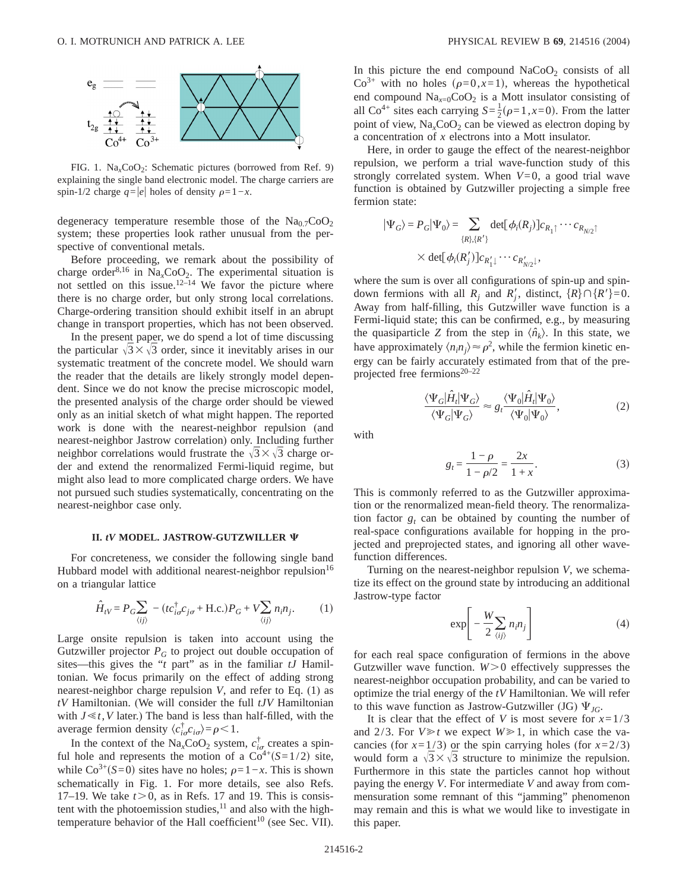

FIG. 1. Na<sub>x</sub>CoO<sub>2</sub>: Schematic pictures (borrowed from Ref. 9) explaining the single band electronic model. The charge carriers are spin-1/2 charge  $q=|e|$  holes of density  $\rho=1-x$ .

degeneracy temperature resemble those of the  $\text{Na}_{0.7}\text{CoO}_2$ system; these properties look rather unusual from the perspective of conventional metals.

Before proceeding, we remark about the possibility of charge order<sup>8,16</sup> in Na<sub>x</sub>CoO<sub>2</sub>. The experimental situation is not settled on this issue.<sup>12–14</sup> We favor the picture where there is no charge order, but only strong local correlations. Charge-ordering transition should exhibit itself in an abrupt change in transport properties, which has not been observed.

In the present paper, we do spend a lot of time discussing the particular  $\sqrt{3} \times \sqrt{3}$  order, since it inevitably arises in our systematic treatment of the concrete model. We should warn the reader that the details are likely strongly model dependent. Since we do not know the precise microscopic model, the presented analysis of the charge order should be viewed only as an initial sketch of what might happen. The reported work is done with the nearest-neighbor repulsion (and nearest-neighbor Jastrow correlation) only. Including further neighbor correlations would frustrate the  $\sqrt{3} \times \sqrt{3}$  charge order and extend the renormalized Fermi-liquid regime, but might also lead to more complicated charge orders. We have not pursued such studies systematically, concentrating on the nearest-neighbor case only.

#### **II.** *tV* **MODEL. JASTROW-GUTZWILLER**  $\Psi$

For concreteness, we consider the following single band Hubbard model with additional nearest-neighbor repulsion $16$ on a triangular lattice

$$
\hat{H}_{tV} = P_G \sum_{\langle ij \rangle} - (tc_{i\sigma}^{\dagger} c_{j\sigma} + \text{H.c.}) P_G + V \sum_{\langle ij \rangle} n_i n_j. \tag{1}
$$

Large onsite repulsion is taken into account using the Gutzwiller projector  $P_G$  to project out double occupation of sites—this gives the "*t* part" as in the familiar *tJ* Hamiltonian. We focus primarily on the effect of adding strong nearest-neighbor charge repulsion *V*, and refer to Eq. (1) as *tV* Hamiltonian. (We will consider the full *tJV* Hamiltonian with  $J \leq t$ , *V* later.) The band is less than half-filled, with the average fermion density  $\langle c_{i\sigma}^{\dagger} c_{i\sigma} \rangle = \rho < 1.$ 

In the context of the Na<sub>x</sub>CoO<sub>2</sub> system,  $c_{i\sigma}^{\dagger}$  creates a spinful hole and represents the motion of a  $Co^{4+}(S=1/2)$  site, while  $Co^{3+}(S=0)$  sites have no holes;  $\rho=1-x$ . This is shown schematically in Fig. 1. For more details, see also Refs. 17–19. We take  $t > 0$ , as in Refs. 17 and 19. This is consistent with the photoemission studies, $11$  and also with the hightemperature behavior of the Hall coefficient<sup>10</sup> (see Sec. VII). In this picture the end compound  $NaCoO<sub>2</sub>$  consists of all  $Co<sup>3+</sup>$  with no holes ( $\rho=0, x=1$ ), whereas the hypothetical end compound  $Na<sub>x=0</sub>CoO<sub>2</sub>$  is a Mott insulator consisting of all Co<sup>4+</sup> sites each carrying  $S = \frac{1}{2}(\rho = 1, x = 0)$ . From the latter point of view,  $Na<sub>x</sub>CoO<sub>2</sub>$  can be viewed as electron doping by a concentration of *x* electrons into a Mott insulator.

Here, in order to gauge the effect of the nearest-neighbor repulsion, we perform a trial wave-function study of this strongly correlated system. When *V*=0, a good trial wave function is obtained by Gutzwiller projecting a simple free fermion state:

$$
|\Psi_G\rangle = P_G|\Psi_0\rangle = \sum_{\{R\},\{R'\}} \det[\phi_i(R_j)]c_{R_1\uparrow} \cdots c_{R_{N/2}\uparrow}
$$

$$
\times \det[\phi_i(R_j')]c_{R_1'\downarrow} \cdots c_{R_{N/2}\downarrow},
$$

where the sum is over all configurations of spin-up and spindown fermions with all  $R_j$  and  $R'_j$ , distinct,  $\{R\} \cap \{R'\}=0$ . Away from half-filling, this Gutzwiller wave function is a Fermi-liquid state; this can be confirmed, e.g., by measuring the quasiparticle *Z* from the step in  $\langle \hat{n}_k \rangle$ . In this state, we have approximately  $\langle n_i n_j \rangle \approx \rho^2$ , while the fermion kinetic energy can be fairly accurately estimated from that of the preprojected free fermions20–22

$$
\frac{\langle \Psi_G | \hat{H}_i | \Psi_G \rangle}{\langle \Psi_G | \Psi_G \rangle} \approx g_t \frac{\langle \Psi_0 | \hat{H}_i | \Psi_0 \rangle}{\langle \Psi_0 | \Psi_0 \rangle},\tag{2}
$$

with

$$
g_t = \frac{1 - \rho}{1 - \rho/2} = \frac{2x}{1 + x}.
$$
 (3)

This is commonly referred to as the Gutzwiller approximation or the renormalized mean-field theory. The renormalization factor  $g_t$  can be obtained by counting the number of real-space configurations available for hopping in the projected and preprojected states, and ignoring all other wavefunction differences.

Turning on the nearest-neighbor repulsion *V*, we schematize its effect on the ground state by introducing an additional Jastrow-type factor

$$
\exp\left[-\frac{W}{2}\sum_{\langle ij\rangle}n_{i}n_{j}\right]
$$
 (4)

for each real space configuration of fermions in the above Gutzwiller wave function.  $W > 0$  effectively suppresses the nearest-neighbor occupation probability, and can be varied to optimize the trial energy of the *tV* Hamiltonian. We will refer to this wave function as Jastrow-Gutzwiller (JG)  $\Psi_{IG}$ .

It is clear that the effect of *V* is most severe for  $x=1/3$ and 2/3. For  $V \ge t$  we expect  $W \ge 1$ , in which case the vacancies (for  $x=1/3$ ) or the spin carrying holes (for  $x=2/3$ ) would form a  $\sqrt{3} \times \sqrt{3}$  structure to minimize the repulsion. Furthermore in this state the particles cannot hop without paying the energy *V*. For intermediate *V* and away from commensuration some remnant of this "jamming" phenomenon may remain and this is what we would like to investigate in this paper.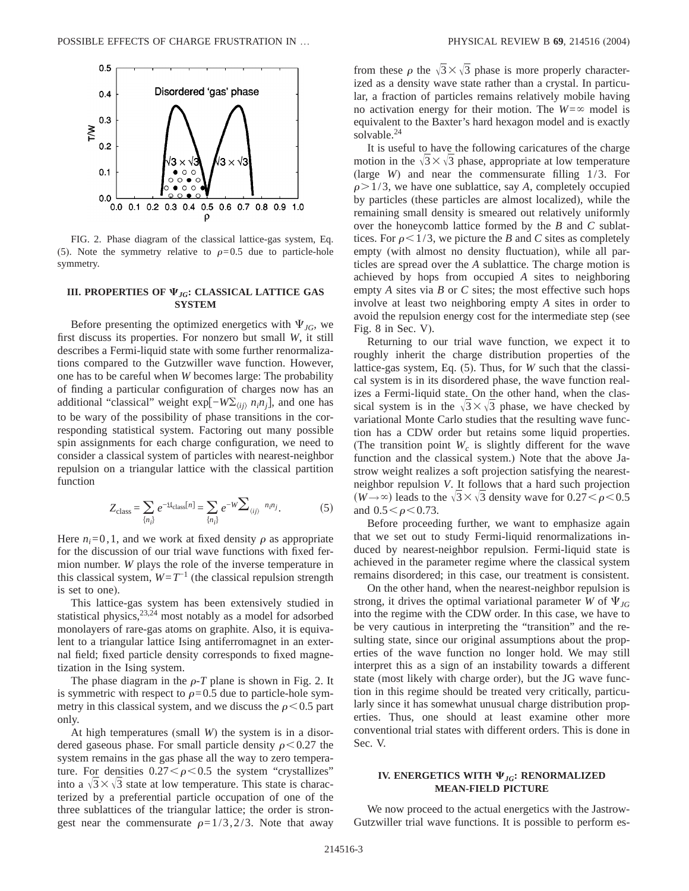

FIG. 2. Phase diagram of the classical lattice-gas system, Eq. (5). Note the symmetry relative to  $\rho=0.5$  due to particle-hole symmetry.

## **III. PROPERTIES OF**  $\Psi_{IG}$ **: CLASSICAL LATTICE GAS SYSTEM**

Before presenting the optimized energetics with  $\Psi_{IG}$ , we first discuss its properties. For nonzero but small *W*, it still describes a Fermi-liquid state with some further renormalizations compared to the Gutzwiller wave function. However, one has to be careful when *W* becomes large: The probability of finding a particular configuration of charges now has an additional "classical" weight exp[-*W*∑<sub> $\langle ij \rangle$ </sub> *n<sub>i</sub>n<sub>j</sub>*], and one has to be wary of the possibility of phase transitions in the corresponding statistical system. Factoring out many possible spin assignments for each charge configuration, we need to consider a classical system of particles with nearest-neighbor repulsion on a triangular lattice with the classical partition function

$$
Z_{\text{class}} = \sum_{\{n_i\}} e^{-\mathfrak{U}_{\text{class}}[n]} = \sum_{\{n_i\}} e^{-W} \sum_{\langle ij \rangle} n_i n_j. \tag{5}
$$

Here  $n_i = 0, 1$ , and we work at fixed density  $\rho$  as appropriate for the discussion of our trial wave functions with fixed fermion number. *W* plays the role of the inverse temperature in this classical system,  $W = T^{-1}$  (the classical repulsion strength is set to one).

This lattice-gas system has been extensively studied in statistical physics,  $23,24$  most notably as a model for adsorbed monolayers of rare-gas atoms on graphite. Also, it is equivalent to a triangular lattice Ising antiferromagnet in an external field; fixed particle density corresponds to fixed magnetization in the Ising system.

The phase diagram in the  $\rho$ -*T* plane is shown in Fig. 2. It is symmetric with respect to  $\rho=0.5$  due to particle-hole symmetry in this classical system, and we discuss the  $\rho$  < 0.5 part only.

At high temperatures (small *W*) the system is in a disordered gaseous phase. For small particle density  $\rho < 0.27$  the system remains in the gas phase all the way to zero temperature. For densities  $0.27 < \rho < 0.5$  the system "crystallizes" into a  $\sqrt{3} \times \sqrt{3}$  state at low temperature. This state is characterized by a preferential particle occupation of one of the three sublattices of the triangular lattice; the order is strongest near the commensurate  $\rho=1/3,2/3$ . Note that away from these  $\rho$  the  $\sqrt{3} \times \sqrt{3}$  phase is more properly characterized as a density wave state rather than a crystal. In particular, a fraction of particles remains relatively mobile having no activation energy for their motion. The  $W = \infty$  model is equivalent to the Baxter's hard hexagon model and is exactly solvable. $24$ 

It is useful to have the following caricatures of the charge motion in the  $\sqrt{3} \times \sqrt{3}$  phase, appropriate at low temperature (large *W*) and near the commensurate filling 1/3. For  $\rho > 1/3$ , we have one sublattice, say *A*, completely occupied by particles (these particles are almost localized), while the remaining small density is smeared out relatively uniformly over the honeycomb lattice formed by the *B* and *C* sublattices. For  $\rho < 1/3$ , we picture the *B* and *C* sites as completely empty (with almost no density fluctuation), while all particles are spread over the *A* sublattice. The charge motion is achieved by hops from occupied *A* sites to neighboring empty *A* sites via *B* or *C* sites; the most effective such hops involve at least two neighboring empty *A* sites in order to avoid the repulsion energy cost for the intermediate step (see Fig. 8 in Sec. V).

Returning to our trial wave function, we expect it to roughly inherit the charge distribution properties of the lattice-gas system, Eq. (5). Thus, for *W* such that the classical system is in its disordered phase, the wave function realizes a Fermi-liquid state. On the other hand, when the classical system is in the  $\sqrt{3} \times \sqrt{3}$  phase, we have checked by variational Monte Carlo studies that the resulting wave function has a CDW order but retains some liquid properties. (The transition point  $W_c$  is slightly different for the wave function and the classical system.) Note that the above Jastrow weight realizes a soft projection satisfying the nearestneighbor repulsion *V*. It follows that a hard such projection  $(W \rightarrow \infty)$  leads to the  $\sqrt{3} \times \sqrt{3}$  density wave for  $0.27 < \rho < 0.5$ and  $0.5 < \rho < 0.73$ .

Before proceeding further, we want to emphasize again that we set out to study Fermi-liquid renormalizations induced by nearest-neighbor repulsion. Fermi-liquid state is achieved in the parameter regime where the classical system remains disordered; in this case, our treatment is consistent.

On the other hand, when the nearest-neighbor repulsion is strong, it drives the optimal variational parameter *W* of  $\Psi_{IG}$ into the regime with the CDW order. In this case, we have to be very cautious in interpreting the "transition" and the resulting state, since our original assumptions about the properties of the wave function no longer hold. We may still interpret this as a sign of an instability towards a different state (most likely with charge order), but the JG wave function in this regime should be treated very critically, particularly since it has somewhat unusual charge distribution properties. Thus, one should at least examine other more conventional trial states with different orders. This is done in Sec. V.

## **IV. ENERGETICS WITH**  $\Psi_{JG}$ **: RENORMALIZED MEAN-FIELD PICTURE**

We now proceed to the actual energetics with the Jastrow-Gutzwiller trial wave functions. It is possible to perform es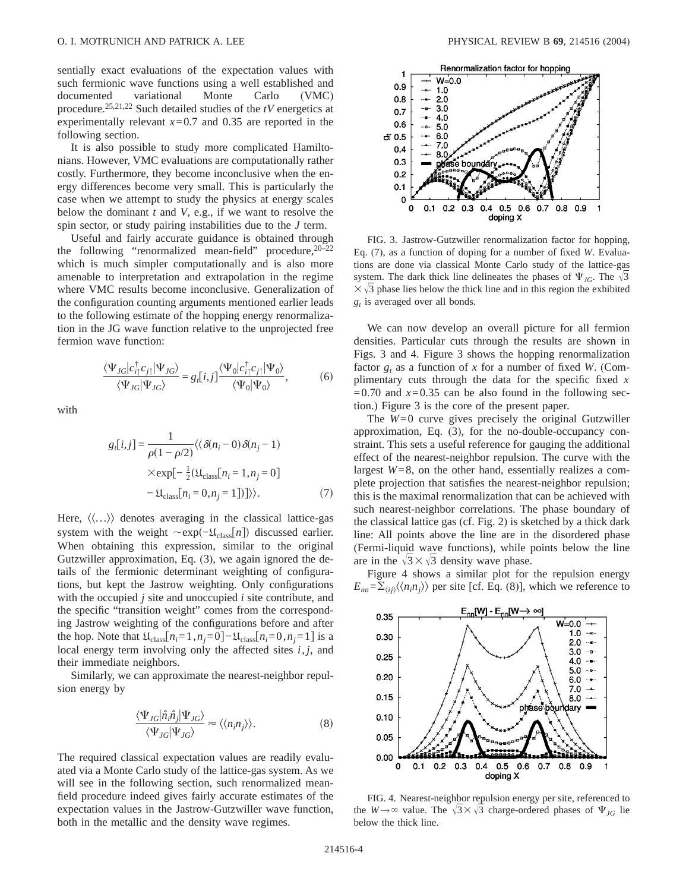sentially exact evaluations of the expectation values with such fermionic wave functions using a well established and documented variational Monte Carlo (VMC) procedure.25,21,22 Such detailed studies of the *tV* energetics at experimentally relevant  $x=0.7$  and 0.35 are reported in the following section.

It is also possible to study more complicated Hamiltonians. However, VMC evaluations are computationally rather costly. Furthermore, they become inconclusive when the energy differences become very small. This is particularly the case when we attempt to study the physics at energy scales below the dominant *t* and *V*, e.g., if we want to resolve the spin sector, or study pairing instabilities due to the *J* term.

Useful and fairly accurate guidance is obtained through the following "renormalized mean-field" procedure,  $20-22$ which is much simpler computationally and is also more amenable to interpretation and extrapolation in the regime where VMC results become inconclusive. Generalization of the configuration counting arguments mentioned earlier leads to the following estimate of the hopping energy renormalization in the JG wave function relative to the unprojected free fermion wave function:

$$
\frac{\langle \Psi_{JG} | c_{i\uparrow}^{\dagger} c_{j\uparrow} | \Psi_{JG} \rangle}{\langle \Psi_{JG} | \Psi_{JG} \rangle} = g_{i}[i, j] \frac{\langle \Psi_{0} | c_{i\uparrow}^{\dagger} c_{j\uparrow} | \Psi_{0} \rangle}{\langle \Psi_{0} | \Psi_{0} \rangle}, \tag{6}
$$

with

$$
g_i[i,j] = \frac{1}{\rho(1-\rho/2)} \langle \langle \delta(n_i-0) \delta(n_j-1) \rangle
$$
  
×
$$
\times \exp[-\frac{1}{2}(\mathfrak{U}_{\text{class}}[n_i=1, n_j=0]) - \mathfrak{U}_{\text{class}}[n_i=0, n_j=1]) \rangle \rangle.
$$
 (7)

Here,  $\langle \langle \ldots \rangle \rangle$  denotes averaging in the classical lattice-gas system with the weight  $\sim$ exp $(-\mathfrak{U}_{\text{class}}[n])$  discussed earlier. When obtaining this expression, similar to the original Gutzwiller approximation, Eq. (3), we again ignored the details of the fermionic determinant weighting of configurations, but kept the Jastrow weighting. Only configurations with the occupied *j* site and unoccupied *i* site contribute, and the specific "transition weight" comes from the corresponding Jastrow weighting of the configurations before and after the hop. Note that  $\mathfrak{U}_{\text{class}}[n_i=1, n_j=0]-\mathfrak{U}_{\text{class}}[n_i=0, n_j=1]$  is a local energy term involving only the affected sites *i*, *j*, and their immediate neighbors.

Similarly, we can approximate the nearest-neighbor repulsion energy by

$$
\frac{\langle \Psi_{JG} | \hat{n}_i \hat{n}_j | \Psi_{JG} \rangle}{\langle \Psi_{JG} | \Psi_{JG} \rangle} \approx \langle \langle n_i n_j \rangle \rangle. \tag{8}
$$

The required classical expectation values are readily evaluated via a Monte Carlo study of the lattice-gas system. As we will see in the following section, such renormalized meanfield procedure indeed gives fairly accurate estimates of the expectation values in the Jastrow-Gutzwiller wave function, both in the metallic and the density wave regimes.



FIG. 3. Jastrow-Gutzwiller renormalization factor for hopping, Eq. (7), as a function of doping for a number of fixed *W*. Evaluations are done via classical Monte Carlo study of the lattice-gas system. The dark thick line delineates the phases of  $\Psi_{JG}$ . The  $\sqrt{3}$  $\times$   $\sqrt{3}$  phase lies below the thick line and in this region the exhibited  $g_t$  is averaged over all bonds.

We can now develop an overall picture for all fermion densities. Particular cuts through the results are shown in Figs. 3 and 4. Figure 3 shows the hopping renormalization factor  $g_t$  as a function of x for a number of fixed *W*. (Complimentary cuts through the data for the specific fixed *x*  $=0.70$  and  $x=0.35$  can be also found in the following section.) Figure 3 is the core of the present paper.

The *W*=0 curve gives precisely the original Gutzwiller approximation, Eq. (3), for the no-double-occupancy constraint. This sets a useful reference for gauging the additional effect of the nearest-neighbor repulsion. The curve with the largest *W*=8, on the other hand, essentially realizes a complete projection that satisfies the nearest-neighbor repulsion; this is the maximal renormalization that can be achieved with such nearest-neighbor correlations. The phase boundary of the classical lattice gas (cf. Fig. 2) is sketched by a thick dark line: All points above the line are in the disordered phase (Fermi-liquid wave functions), while points below the line are in the  $\sqrt{3} \times \sqrt{3}$  density wave phase.

Figure 4 shows a similar plot for the repulsion energy  $E_{nn} = \sum_{\langle ij \rangle} \langle \langle n_i n_j \rangle \rangle$  per site [cf. Eq. (8)], which we reference to



FIG. 4. Nearest-neighbor repulsion energy per site, referenced to the  $W \rightarrow \infty$  value. The  $\sqrt{3} \times \sqrt{3}$  charge-ordered phases of  $\Psi_{JG}$  lie below the thick line.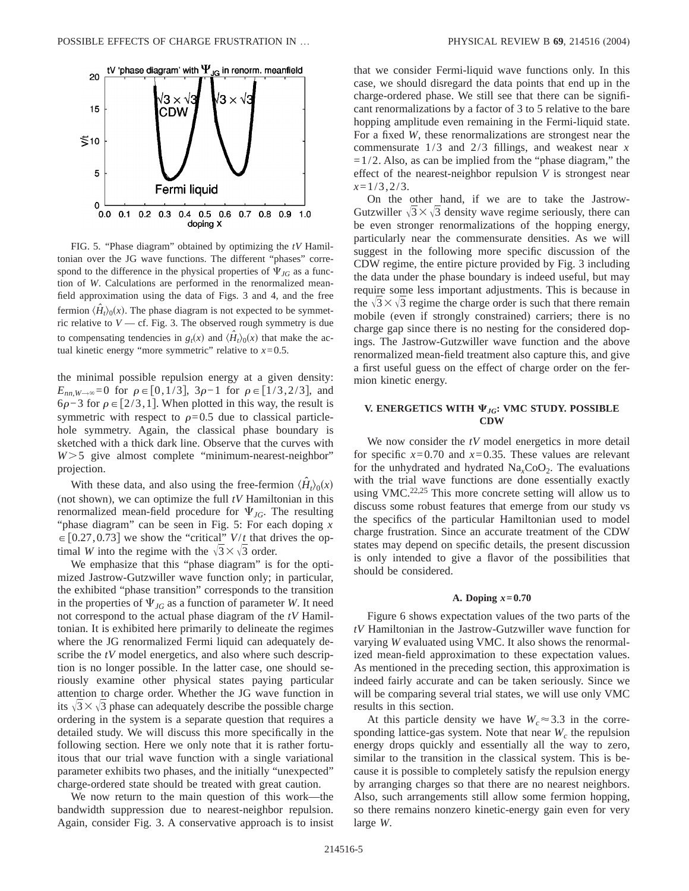

FIG. 5. "Phase diagram" obtained by optimizing the *tV* Hamiltonian over the JG wave functions. The different "phases" correspond to the difference in the physical properties of  $\Psi_{JG}$  as a function of *W*. Calculations are performed in the renormalized meanfield approximation using the data of Figs. 3 and 4, and the free fermion  $\langle \hat{H}_t \rangle_0(x)$ . The phase diagram is not expected to be symmetric relative to  $V$  — cf. Fig. 3. The observed rough symmetry is due to compensating tendencies in  $g_t(x)$  and  $\langle \hat{H}_t \rangle_0(x)$  that make the actual kinetic energy "more symmetric" relative to  $x=0.5$ .

the minimal possible repulsion energy at a given density: *E<sub>nn</sub>*, $W\rightarrow\infty$ =0 for  $\rho\in[0,1/3]$ , 3 $\rho-1$  for  $\rho\in[1/3,2/3]$ , and 6 $\rho$ −3 for  $\rho \in [2/3,1]$ . When plotted in this way, the result is symmetric with respect to  $\rho=0.5$  due to classical particlehole symmetry. Again, the classical phase boundary is sketched with a thick dark line. Observe that the curves with *W* > 5 give almost complete "minimum-nearest-neighbor" projection.

With these data, and also using the free-fermion  $\langle \hat{H}_t \rangle_0(x)$ (not shown), we can optimize the full *tV* Hamiltonian in this renormalized mean-field procedure for  $\Psi_{JG}$ . The resulting "phase diagram" can be seen in Fig. 5: For each doping *x*  $\in [0.27, 0.73]$  we show the "critical" *V*/*t* that drives the optimal *W* into the regime with the  $\sqrt{3} \times \sqrt{3}$  order.

We emphasize that this "phase diagram" is for the optimized Jastrow-Gutzwiller wave function only; in particular, the exhibited "phase transition" corresponds to the transition in the properties of  $\Psi_{JG}$  as a function of parameter *W*. It need not correspond to the actual phase diagram of the *tV* Hamiltonian. It is exhibited here primarily to delineate the regimes where the JG renormalized Fermi liquid can adequately describe the *tV* model energetics, and also where such description is no longer possible. In the latter case, one should seriously examine other physical states paying particular attention to charge order. Whether the JG wave function in its  $\sqrt{3} \times \sqrt{3}$  phase can adequately describe the possible charge ordering in the system is a separate question that requires a detailed study. We will discuss this more specifically in the following section. Here we only note that it is rather fortuitous that our trial wave function with a single variational parameter exhibits two phases, and the initially "unexpected" charge-ordered state should be treated with great caution.

We now return to the main question of this work—the bandwidth suppression due to nearest-neighbor repulsion. Again, consider Fig. 3. A conservative approach is to insist

that we consider Fermi-liquid wave functions only. In this case, we should disregard the data points that end up in the charge-ordered phase. We still see that there can be significant renormalizations by a factor of 3 to 5 relative to the bare hopping amplitude even remaining in the Fermi-liquid state. For a fixed *W*, these renormalizations are strongest near the commensurate 1/3 and 2/3 fillings, and weakest near *x*  $=1/2$ . Also, as can be implied from the "phase diagram," the effect of the nearest-neighbor repulsion *V* is strongest near *x*=1/3,2/3.

On the other hand, if we are to take the Jastrow-Gutzwiller  $\sqrt{3} \times \sqrt{3}$  density wave regime seriously, there can be even stronger renormalizations of the hopping energy, particularly near the commensurate densities. As we will suggest in the following more specific discussion of the CDW regime, the entire picture provided by Fig. 3 including the data under the phase boundary is indeed useful, but may require some less important adjustments. This is because in the  $\sqrt{3} \times \sqrt{3}$  regime the charge order is such that there remain mobile (even if strongly constrained) carriers; there is no charge gap since there is no nesting for the considered dopings. The Jastrow-Gutzwiller wave function and the above renormalized mean-field treatment also capture this, and give a first useful guess on the effect of charge order on the fermion kinetic energy.

## **V. ENERGETICS WITH**  $\Psi_{JG}$ **: VMC STUDY. POSSIBLE CDW**

We now consider the *tV* model energetics in more detail for specific  $x=0.70$  and  $x=0.35$ . These values are relevant for the unhydrated and hydrated  $Na<sub>x</sub>CoO<sub>2</sub>$ . The evaluations with the trial wave functions are done essentially exactly using VMC. $22,25$  This more concrete setting will allow us to discuss some robust features that emerge from our study vs the specifics of the particular Hamiltonian used to model charge frustration. Since an accurate treatment of the CDW states may depend on specific details, the present discussion is only intended to give a flavor of the possibilities that should be considered.

#### **A. Doping** *x***=0.70**

Figure 6 shows expectation values of the two parts of the *tV* Hamiltonian in the Jastrow-Gutzwiller wave function for varying *W* evaluated using VMC. It also shows the renormalized mean-field approximation to these expectation values. As mentioned in the preceding section, this approximation is indeed fairly accurate and can be taken seriously. Since we will be comparing several trial states, we will use only VMC results in this section.

At this particle density we have  $W_c \approx 3.3$  in the corresponding lattice-gas system. Note that near  $W_c$  the repulsion energy drops quickly and essentially all the way to zero, similar to the transition in the classical system. This is because it is possible to completely satisfy the repulsion energy by arranging charges so that there are no nearest neighbors. Also, such arrangements still allow some fermion hopping, so there remains nonzero kinetic-energy gain even for very large *W*.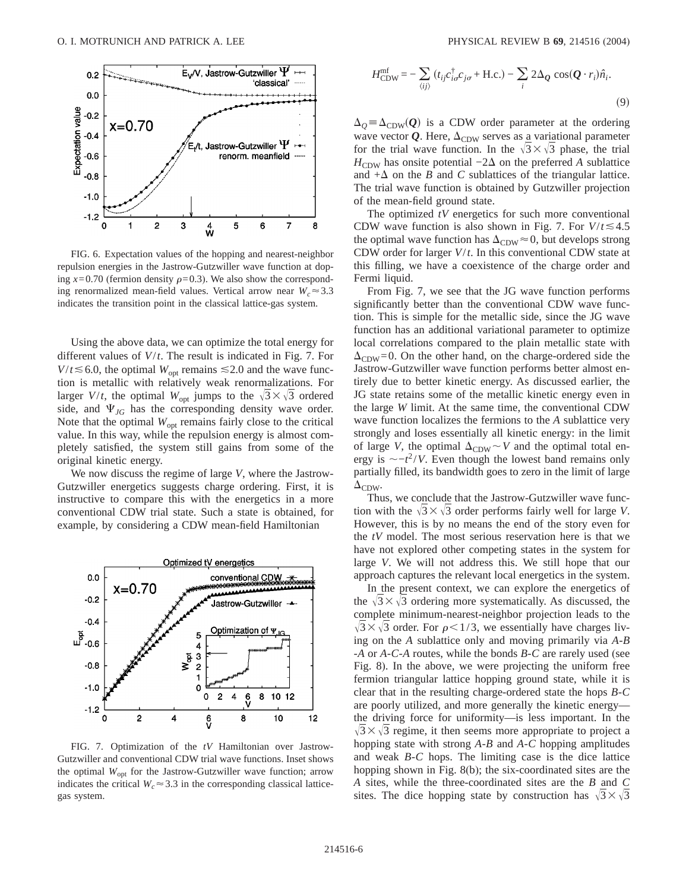

FIG. 6. Expectation values of the hopping and nearest-neighbor repulsion energies in the Jastrow-Gutzwiller wave function at doping  $x=0.70$  (fermion density  $\rho=0.3$ ). We also show the corresponding renormalized mean-field values. Vertical arrow near  $W_c \approx 3.3$ indicates the transition point in the classical lattice-gas system.

Using the above data, we can optimize the total energy for different values of *V*/*t*. The result is indicated in Fig. 7. For  $V/t \le 6.0$ , the optimal  $W_{\text{opt}}$  remains  $\le 2.0$  and the wave function is metallic with relatively weak renormalizations. For larger *V*/*t*, the optimal  $W_{\text{opt}}$  jumps to the  $\sqrt{3} \times \sqrt{3}$  ordered side, and  $\Psi_{IG}$  has the corresponding density wave order. Note that the optimal  $W_{opt}$  remains fairly close to the critical value. In this way, while the repulsion energy is almost completely satisfied, the system still gains from some of the original kinetic energy.

We now discuss the regime of large *V*, where the Jastrow-Gutzwiller energetics suggests charge ordering. First, it is instructive to compare this with the energetics in a more conventional CDW trial state. Such a state is obtained, for example, by considering a CDW mean-field Hamiltonian



FIG. 7. Optimization of the *tV* Hamiltonian over Jastrow-Gutzwiller and conventional CDW trial wave functions. Inset shows the optimal  $W_{opt}$  for the Jastrow-Gutzwiller wave function; arrow indicates the critical  $W_c \approx 3.3$  in the corresponding classical latticegas system.

$$
H_{\rm CDW}^{\rm mf} = -\sum_{\langle ij \rangle} (t_{ij} c_{i\sigma}^{\dagger} c_{j\sigma} + \text{H.c.}) - \sum_{i} 2\Delta_{\mathbf{Q}} \cos(\mathbf{Q} \cdot r_i) \hat{n}_i.
$$
\n(9)

 $\Delta$ <sub>*Q*</sub> =  $\Delta$ <sub>CDW</sub>(*Q*) is a CDW order parameter at the ordering wave vector  $Q$ . Here,  $\Delta_{CDW}$  serves as a variational parameter for the trial wave function. In the  $\sqrt{3} \times \sqrt{3}$  phase, the trial  $H_{\text{CDW}}$  has onsite potential  $-2\Delta$  on the preferred *A* sublattice and  $+\Delta$  on the *B* and *C* sublattices of the triangular lattice. The trial wave function is obtained by Gutzwiller projection of the mean-field ground state.

The optimized *tV* energetics for such more conventional CDW wave function is also shown in Fig. 7. For  $V/t \le 4.5$ the optimal wave function has  $\Delta_{CDW} \approx 0$ , but develops strong CDW order for larger *V*/*t*. In this conventional CDW state at this filling, we have a coexistence of the charge order and Fermi liquid.

From Fig. 7, we see that the JG wave function performs significantly better than the conventional CDW wave function. This is simple for the metallic side, since the JG wave function has an additional variational parameter to optimize local correlations compared to the plain metallic state with  $\Delta_{\rm CDW}$ =0. On the other hand, on the charge-ordered side the Jastrow-Gutzwiller wave function performs better almost entirely due to better kinetic energy. As discussed earlier, the JG state retains some of the metallic kinetic energy even in the large *W* limit. At the same time, the conventional CDW wave function localizes the fermions to the *A* sublattice very strongly and loses essentially all kinetic energy: in the limit of large *V*, the optimal  $\Delta_{CDW} \sim V$  and the optimal total energy is  $\sim$ - $t^2$ /*V*. Even though the lowest band remains only partially filled, its bandwidth goes to zero in the limit of large  $\Delta_{CDW}$ .

Thus, we conclude that the Jastrow-Gutzwiller wave function with the  $\sqrt{3} \times \sqrt{3}$  order performs fairly well for large *V*. However, this is by no means the end of the story even for the *tV* model. The most serious reservation here is that we have not explored other competing states in the system for large *V*. We will not address this. We still hope that our approach captures the relevant local energetics in the system.

In the present context, we can explore the energetics of the  $\sqrt{3} \times \sqrt{3}$  ordering more systematically. As discussed, the complete minimum-nearest-neighbor projection leads to the  $\sqrt{3} \times \sqrt{3}$  order. For  $\rho \leq 1/3$ , we essentially have charges living on the *A* sublattice only and moving primarily via *A*-*B* -*A* or *A*-*C*-*A* routes, while the bonds *B*-*C* are rarely used (see Fig. 8). In the above, we were projecting the uniform free fermion triangular lattice hopping ground state, while it is clear that in the resulting charge-ordered state the hops *B*-*C* are poorly utilized, and more generally the kinetic energy the driving force for uniformity—is less important. In the  $\sqrt{3} \times \sqrt{3}$  regime, it then seems more appropriate to project a hopping state with strong *A*-*B* and *A*-*C* hopping amplitudes and weak *B*-*C* hops. The limiting case is the dice lattice hopping shown in Fig. 8(b); the six-coordinated sites are the *A* sites, while the three-coordinated sites are the *B* and *C* sites. The dice hopping state by construction has  $\sqrt{3} \times \sqrt{3}$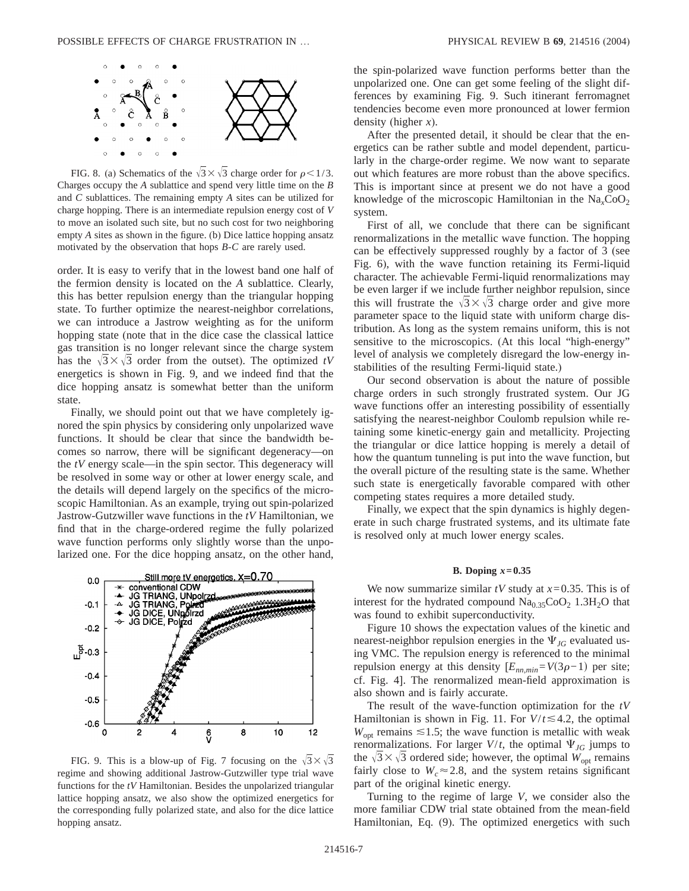

FIG. 8. (a) Schematics of the  $\sqrt{3} \times \sqrt{3}$  charge order for  $\rho < 1/3$ . Charges occupy the *A* sublattice and spend very little time on the *B* and *C* sublattices. The remaining empty *A* sites can be utilized for charge hopping. There is an intermediate repulsion energy cost of *V* to move an isolated such site, but no such cost for two neighboring empty *A* sites as shown in the figure. (b) Dice lattice hopping ansatz motivated by the observation that hops *B*-*C* are rarely used.

order. It is easy to verify that in the lowest band one half of the fermion density is located on the *A* sublattice. Clearly, this has better repulsion energy than the triangular hopping state. To further optimize the nearest-neighbor correlations, we can introduce a Jastrow weighting as for the uniform hopping state (note that in the dice case the classical lattice gas transition is no longer relevant since the charge system has the  $\sqrt{3} \times \sqrt{3}$  order from the outset). The optimized *tV* energetics is shown in Fig. 9, and we indeed find that the dice hopping ansatz is somewhat better than the uniform state.

Finally, we should point out that we have completely ignored the spin physics by considering only unpolarized wave functions. It should be clear that since the bandwidth becomes so narrow, there will be significant degeneracy—on the *tV* energy scale—in the spin sector. This degeneracy will be resolved in some way or other at lower energy scale, and the details will depend largely on the specifics of the microscopic Hamiltonian. As an example, trying out spin-polarized Jastrow-Gutzwiller wave functions in the *tV* Hamiltonian, we find that in the charge-ordered regime the fully polarized wave function performs only slightly worse than the unpolarized one. For the dice hopping ansatz, on the other hand,



FIG. 9. This is a blow-up of Fig. 7 focusing on the  $\sqrt{3} \times \sqrt{3}$ regime and showing additional Jastrow-Gutzwiller type trial wave functions for the *tV* Hamiltonian. Besides the unpolarized triangular lattice hopping ansatz, we also show the optimized energetics for the corresponding fully polarized state, and also for the dice lattice hopping ansatz.

the spin-polarized wave function performs better than the unpolarized one. One can get some feeling of the slight differences by examining Fig. 9. Such itinerant ferromagnet tendencies become even more pronounced at lower fermion density (higher *x*).

After the presented detail, it should be clear that the energetics can be rather subtle and model dependent, particularly in the charge-order regime. We now want to separate out which features are more robust than the above specifics. This is important since at present we do not have a good knowledge of the microscopic Hamiltonian in the  $Na<sub>x</sub>CoO<sub>2</sub>$ system.

First of all, we conclude that there can be significant renormalizations in the metallic wave function. The hopping can be effectively suppressed roughly by a factor of 3 (see Fig. 6), with the wave function retaining its Fermi-liquid character. The achievable Fermi-liquid renormalizations may be even larger if we include further neighbor repulsion, since this will frustrate the  $\sqrt{3} \times \sqrt{3}$  charge order and give more parameter space to the liquid state with uniform charge distribution. As long as the system remains uniform, this is not sensitive to the microscopics. (At this local "high-energy" level of analysis we completely disregard the low-energy instabilities of the resulting Fermi-liquid state.)

Our second observation is about the nature of possible charge orders in such strongly frustrated system. Our JG wave functions offer an interesting possibility of essentially satisfying the nearest-neighbor Coulomb repulsion while retaining some kinetic-energy gain and metallicity. Projecting the triangular or dice lattice hopping is merely a detail of how the quantum tunneling is put into the wave function, but the overall picture of the resulting state is the same. Whether such state is energetically favorable compared with other competing states requires a more detailed study.

Finally, we expect that the spin dynamics is highly degenerate in such charge frustrated systems, and its ultimate fate is resolved only at much lower energy scales.

#### **B. Doping** *x***=0.35**

We now summarize similar *tV* study at *x*=0.35. This is of interest for the hydrated compound  $\text{Na}_{0.35}\text{CoO}_2$  1.3H<sub>2</sub>O that was found to exhibit superconductivity.

Figure 10 shows the expectation values of the kinetic and nearest-neighbor repulsion energies in the  $\Psi_{JG}$  evaluated using VMC. The repulsion energy is referenced to the minimal repulsion energy at this density  $[E_{nn,min}=V(3\rho-1)$  per site; cf. Fig. 4]. The renormalized mean-field approximation is also shown and is fairly accurate.

The result of the wave-function optimization for the *tV* Hamiltonian is shown in Fig. 11. For  $V/t \le 4.2$ , the optimal  $W_{\text{opt}}$  remains  $\leq 1.5$ ; the wave function is metallic with weak renormalizations. For larger  $V/t$ , the optimal  $\Psi_{JG}$  jumps to the  $\sqrt{3} \times \sqrt{3}$  ordered side; however, the optimal *W*<sub>opt</sub> remains fairly close to  $W_c \approx 2.8$ , and the system retains significant part of the original kinetic energy.

Turning to the regime of large *V*, we consider also the more familiar CDW trial state obtained from the mean-field Hamiltonian, Eq. (9). The optimized energetics with such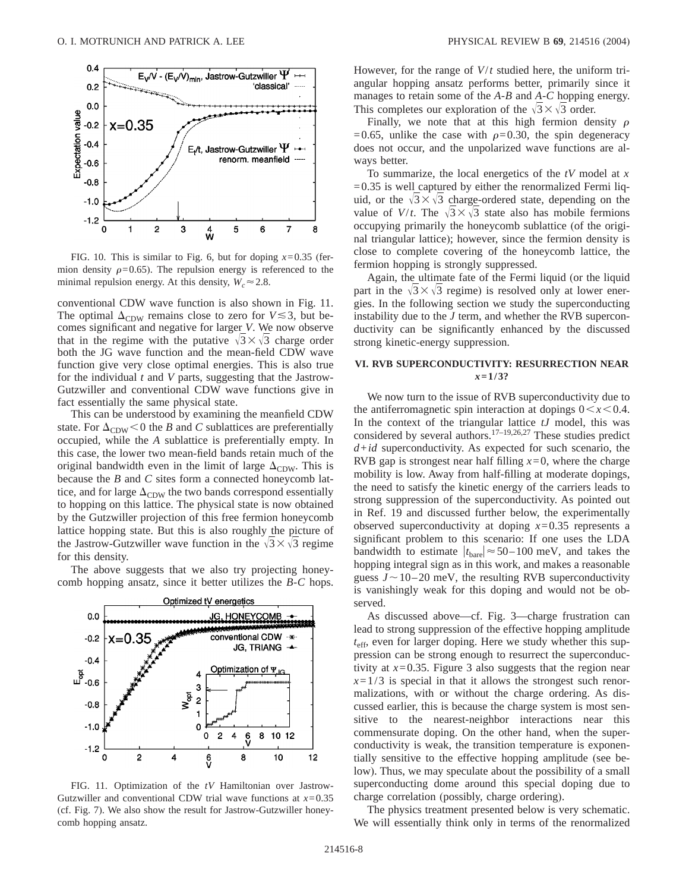

FIG. 10. This is similar to Fig. 6, but for doping  $x=0.35$  (fermion density  $\rho=0.65$ ). The repulsion energy is referenced to the minimal repulsion energy. At this density,  $W_c \approx 2.8$ .

conventional CDW wave function is also shown in Fig. 11. The optimal  $\Delta_{CDW}$  remains close to zero for  $V \le 3$ , but becomes significant and negative for larger *V*. We now observe that in the regime with the putative  $\sqrt{3} \times \sqrt{3}$  charge order both the JG wave function and the mean-field CDW wave function give very close optimal energies. This is also true for the individual *t* and *V* parts, suggesting that the Jastrow-Gutzwiller and conventional CDW wave functions give in fact essentially the same physical state.

This can be understood by examining the meanfield CDW state. For  $\Delta_{CDW}$  < 0 the *B* and *C* sublattices are preferentially occupied, while the *A* sublattice is preferentially empty. In this case, the lower two mean-field bands retain much of the original bandwidth even in the limit of large  $\Delta_{\text{CDW}}$ . This is because the *B* and *C* sites form a connected honeycomb lattice, and for large  $\Delta_{CDW}$  the two bands correspond essentially to hopping on this lattice. The physical state is now obtained by the Gutzwiller projection of this free fermion honeycomb lattice hopping state. But this is also roughly the picture of the Jastrow-Gutzwiller wave function in the  $\sqrt{3} \times \sqrt{3}$  regime for this density.

The above suggests that we also try projecting honeycomb hopping ansatz, since it better utilizes the *B*-*C* hops.



FIG. 11. Optimization of the *tV* Hamiltonian over Jastrow-Gutzwiller and conventional CDW trial wave functions at  $x=0.35$ (cf. Fig. 7). We also show the result for Jastrow-Gutzwiller honeycomb hopping ansatz.

However, for the range of *V*/*t* studied here, the uniform triangular hopping ansatz performs better, primarily since it manages to retain some of the *A*-*B* and *A*-*C* hopping energy. This completes our exploration of the  $\sqrt{3} \times \sqrt{3}$  order.

Finally, we note that at this high fermion density  $\rho$ =0.65, unlike the case with  $\rho$ =0.30, the spin degeneracy does not occur, and the unpolarized wave functions are always better.

To summarize, the local energetics of the *tV* model at *x*  $=0.35$  is well captured by either the renormalized Fermi liquid, or the  $\sqrt{3} \times \sqrt{3}$  charge-ordered state, depending on the value of  $V/t$ . The  $\sqrt{3} \times \sqrt{3}$  state also has mobile fermions occupying primarily the honeycomb sublattice (of the original triangular lattice); however, since the fermion density is close to complete covering of the honeycomb lattice, the fermion hopping is strongly suppressed.

Again, the ultimate fate of the Fermi liquid (or the liquid part in the  $\sqrt{3} \times \sqrt{3}$  regime) is resolved only at lower energies. In the following section we study the superconducting instability due to the *J* term, and whether the RVB superconductivity can be significantly enhanced by the discussed strong kinetic-energy suppression.

## **VI. RVB SUPERCONDUCTIVITY: RESURRECTION NEAR** *x***=1/3?**

We now turn to the issue of RVB superconductivity due to the antiferromagnetic spin interaction at dopings  $0 \lt x \lt 0.4$ . In the context of the triangular lattice *tJ* model, this was considered by several authors.<sup>17–19,26,27</sup> These studies predict *d*+*id* superconductivity. As expected for such scenario, the RVB gap is strongest near half filling  $x=0$ , where the charge mobility is low. Away from half-filling at moderate dopings, the need to satisfy the kinetic energy of the carriers leads to strong suppression of the superconductivity. As pointed out in Ref. 19 and discussed further below, the experimentally observed superconductivity at doping *x*=0.35 represents a significant problem to this scenario: If one uses the LDA bandwidth to estimate  $|t_{\text{bare}}| \approx 50-100$  meV, and takes the hopping integral sign as in this work, and makes a reasonable guess  $J \sim 10-20$  meV, the resulting RVB superconductivity is vanishingly weak for this doping and would not be observed.

As discussed above—cf. Fig. 3—charge frustration can lead to strong suppression of the effective hopping amplitude  $t_{\text{eff}}$ , even for larger doping. Here we study whether this suppression can be strong enough to resurrect the superconductivity at  $x=0.35$ . Figure 3 also suggests that the region near  $x=1/3$  is special in that it allows the strongest such renormalizations, with or without the charge ordering. As discussed earlier, this is because the charge system is most sensitive to the nearest-neighbor interactions near this commensurate doping. On the other hand, when the superconductivity is weak, the transition temperature is exponentially sensitive to the effective hopping amplitude (see below). Thus, we may speculate about the possibility of a small superconducting dome around this special doping due to charge correlation (possibly, charge ordering).

The physics treatment presented below is very schematic. We will essentially think only in terms of the renormalized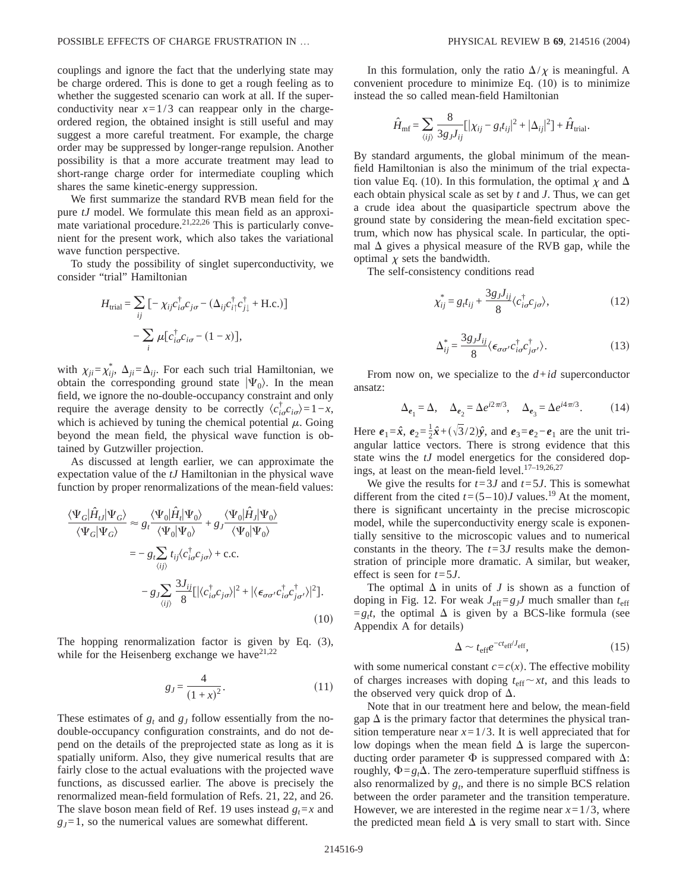couplings and ignore the fact that the underlying state may be charge ordered. This is done to get a rough feeling as to whether the suggested scenario can work at all. If the superconductivity near  $x=1/3$  can reappear only in the chargeordered region, the obtained insight is still useful and may suggest a more careful treatment. For example, the charge order may be suppressed by longer-range repulsion. Another possibility is that a more accurate treatment may lead to short-range charge order for intermediate coupling which shares the same kinetic-energy suppression.

We first summarize the standard RVB mean field for the pure *tJ* model. We formulate this mean field as an approximate variational procedure.<sup>21,22,26</sup> This is particularly convenient for the present work, which also takes the variational wave function perspective.

To study the possibility of singlet superconductivity, we consider "trial" Hamiltonian

$$
H_{\text{trial}} = \sum_{ij} \left[ -\chi_{ij} c_{i\sigma}^{\dagger} c_{j\sigma} - (\Delta_{ij} c_{i\uparrow}^{\dagger} c_{j\downarrow}^{\dagger} + \text{H.c.}) \right] - \sum_{i} \mu [c_{i\sigma}^{\dagger} c_{i\sigma} - (1 - x)],
$$

with  $\chi_{ji} = \chi_{ij}^*$ ,  $\Delta_{ji} = \Delta_{ij}$ . For each such trial Hamiltonian, we obtain the corresponding ground state  $|\Psi_0\rangle$ . In the mean field, we ignore the no-double-occupancy constraint and only require the average density to be correctly  $\langle c_{i\sigma}^{\dagger} c_{i\sigma} \rangle = 1 - x$ , which is achieved by tuning the chemical potential  $\mu$ . Going beyond the mean field, the physical wave function is obtained by Gutzwiller projection.

As discussed at length earlier, we can approximate the expectation value of the *tJ* Hamiltonian in the physical wave function by proper renormalizations of the mean-field values:

$$
\frac{\langle \Psi_G | \hat{H}_{IJ} | \Psi_G \rangle}{\langle \Psi_G | \Psi_G \rangle} \approx g_I \frac{\langle \Psi_0 | \hat{H}_I | \Psi_0 \rangle}{\langle \Psi_0 | \Psi_0 \rangle} + g_J \frac{\langle \Psi_0 | \hat{H}_J | \Psi_0 \rangle}{\langle \Psi_0 | \Psi_0 \rangle}
$$
  
=  $- g_I \sum_{\langle ij \rangle} t_{ij} \langle c_{i\sigma}^\dagger c_{j\sigma} \rangle + \text{c.c.}$   
 $- g_J \sum_{\langle ij \rangle} \frac{3J_{ij}}{8} [\langle c_{i\sigma}^\dagger c_{j\sigma} \rangle]^2 + |\langle \epsilon_{\sigma\sigma'} c_{i\sigma}^\dagger c_{j\sigma'}^\dagger \rangle|^2].$  (10)

The hopping renormalization factor is given by Eq. (3), while for the Heisenberg exchange we have  $2^{1,22}$ 

$$
g_J = \frac{4}{(1+x)^2}.\tag{11}
$$

These estimates of  $g_t$  and  $g_j$  follow essentially from the nodouble-occupancy configuration constraints, and do not depend on the details of the preprojected state as long as it is spatially uniform. Also, they give numerical results that are fairly close to the actual evaluations with the projected wave functions, as discussed earlier. The above is precisely the renormalized mean-field formulation of Refs. 21, 22, and 26. The slave boson mean field of Ref. 19 uses instead  $g_t = x$  and  $g_J = 1$ , so the numerical values are somewhat different.

In this formulation, only the ratio  $\Delta/\chi$  is meaningful. A convenient procedure to minimize Eq. (10) is to minimize instead the so called mean-field Hamiltonian

$$
\hat{H}_{\text{mf}} = \sum_{\langle ij \rangle} \frac{8}{3g_J J_{ij}} [|\chi_{ij} - g_i t_{ij}|^2 + |\Delta_{ij}|^2] + \hat{H}_{\text{trial}}.
$$

By standard arguments, the global minimum of the meanfield Hamiltonian is also the minimum of the trial expectation value Eq. (10). In this formulation, the optimal  $\chi$  and  $\Delta$ each obtain physical scale as set by *t* and *J*. Thus, we can get a crude idea about the quasiparticle spectrum above the ground state by considering the mean-field excitation spectrum, which now has physical scale. In particular, the optimal  $\Delta$  gives a physical measure of the RVB gap, while the optimal  $\chi$  sets the bandwidth.

The self-consistency conditions read

$$
\chi_{ij}^* = g_i t_{ij} + \frac{3g_j J_{ij}}{8} \langle c_{i\sigma}^\dagger c_{j\sigma} \rangle, \tag{12}
$$

$$
\Delta_{ij}^* = \frac{3g_J J_{ij}}{8} \langle \epsilon_{\sigma\sigma'} c_{i\sigma}^\dagger c_{j\sigma'}^\dagger \rangle. \tag{13}
$$

From now on, we specialize to the *d*+*id* superconductor ansatz:

$$
\Delta_{e_1} = \Delta, \quad \Delta_{e_2} = \Delta e^{i2\pi/3}, \quad \Delta_{e_3} = \Delta e^{i4\pi/3}.
$$
 (14)

Here  $e_1 = \hat{x}$ ,  $e_2 = \frac{1}{2}\hat{x} + (\sqrt{3}/2)\hat{y}$ , and  $e_3 = e_2 - e_1$  are the unit triangular lattice vectors. There is strong evidence that this state wins the *tJ* model energetics for the considered dopings, at least on the mean-field level.17–19,26,27

We give the results for  $t=3J$  and  $t=5J$ . This is somewhat different from the cited  $t=(5-10)J$  values.<sup>19</sup> At the moment, there is significant uncertainty in the precise microscopic model, while the superconductivity energy scale is exponentially sensitive to the microscopic values and to numerical constants in the theory. The *t*=3*J* results make the demonstration of principle more dramatic. A similar, but weaker, effect is seen for *t*=5*J*.

The optimal  $\Delta$  in units of *J* is shown as a function of doping in Fig. 12. For weak  $J_{\text{eff}}=g_JJ$  much smaller than  $t_{\text{eff}}$  $= g_t t$ , the optimal  $\Delta$  is given by a BCS-like formula (see Appendix A for details)

$$
\Delta \sim t_{\rm eff} e^{-ct_{\rm eff}/J_{\rm eff}},\tag{15}
$$

with some numerical constant  $c = c(x)$ . The effective mobility of charges increases with doping  $t_{\text{eff}} \sim xt$ , and this leads to the observed very quick drop of  $\Delta$ .

Note that in our treatment here and below, the mean-field gap  $\Delta$  is the primary factor that determines the physical transition temperature near  $x=1/3$ . It is well appreciated that for low dopings when the mean field  $\Delta$  is large the superconducting order parameter  $\Phi$  is suppressed compared with  $\Delta$ : roughly,  $\Phi = g_t \Delta$ . The zero-temperature superfluid stiffness is also renormalized by  $g_t$ , and there is no simple BCS relation between the order parameter and the transition temperature. However, we are interested in the regime near  $x=1/3$ , where the predicted mean field  $\Delta$  is very small to start with. Since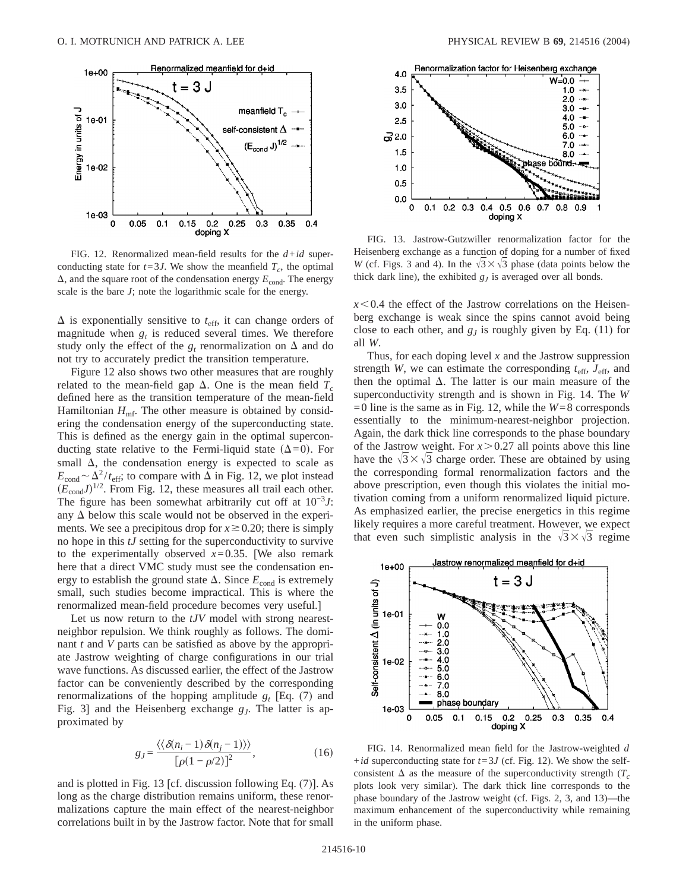

FIG. 12. Renormalized mean-field results for the *d*+*id* superconducting state for  $t=3J$ . We show the meanfield  $T_c$ , the optimal  $\Delta$ , and the square root of the condensation energy  $E_{\text{cond}}$ . The energy scale is the bare *J*; note the logarithmic scale for the energy.

 $\Delta$  is exponentially sensitive to  $t_{\text{eff}}$ , it can change orders of magnitude when  $g_t$  is reduced several times. We therefore study only the effect of the  $g_t$  renormalization on  $\Delta$  and do not try to accurately predict the transition temperature.

Figure 12 also shows two other measures that are roughly related to the mean-field gap  $\Delta$ . One is the mean field  $T_c$ defined here as the transition temperature of the mean-field Hamiltonian  $H_{\text{mf}}$ . The other measure is obtained by considering the condensation energy of the superconducting state. This is defined as the energy gain in the optimal superconducting state relative to the Fermi-liquid state  $(\Delta=0)$ . For small  $\Delta$ , the condensation energy is expected to scale as  $E_{\text{cond}} \sim \Delta^2 / t_{\text{eff}}$ ; to compare with  $\Delta$  in Fig. 12, we plot instead  $(E_{\text{cond}})$ <sup>1/2</sup>. From Fig. 12, these measures all trail each other. The figure has been somewhat arbitrarily cut off at 10−3*J*: any  $\Delta$  below this scale would not be observed in the experiments. We see a precipitous drop for  $x \ge 0.20$ ; there is simply no hope in this *tJ* setting for the superconductivity to survive to the experimentally observed  $x=0.35$ . [We also remark here that a direct VMC study must see the condensation energy to establish the ground state  $\Delta$ . Since  $E_{\text{cond}}$  is extremely small, such studies become impractical. This is where the renormalized mean-field procedure becomes very useful.]

Let us now return to the *tJV* model with strong nearestneighbor repulsion. We think roughly as follows. The dominant *t* and *V* parts can be satisfied as above by the appropriate Jastrow weighting of charge configurations in our trial wave functions. As discussed earlier, the effect of the Jastrow factor can be conveniently described by the corresponding renormalizations of the hopping amplitude  $g_t$  [Eq. (7) and Fig. 3] and the Heisenberg exchange  $g<sub>J</sub>$ . The latter is approximated by

$$
g_J = \frac{\langle (\delta(n_i - 1)\delta(n_j - 1)) \rangle}{[\rho(1 - \rho/2)]^2},
$$
\n(16)

and is plotted in Fig. 13 [cf. discussion following Eq. (7)]. As long as the charge distribution remains uniform, these renormalizations capture the main effect of the nearest-neighbor correlations built in by the Jastrow factor. Note that for small



FIG. 13. Jastrow-Gutzwiller renormalization factor for the Heisenberg exchange as a function of doping for a number of fixed *W* (cf. Figs. 3 and 4). In the  $\sqrt{3} \times \sqrt{3}$  phase (data points below the thick dark line), the exhibited  $g<sub>J</sub>$  is averaged over all bonds.

 $x \leq 0.4$  the effect of the Jastrow correlations on the Heisenberg exchange is weak since the spins cannot avoid being close to each other, and  $g<sub>J</sub>$  is roughly given by Eq. (11) for all *W*.

Thus, for each doping level *x* and the Jastrow suppression strength *W*, we can estimate the corresponding  $t_{\text{eff}}$ ,  $J_{\text{eff}}$ , and then the optimal  $\Delta$ . The latter is our main measure of the superconductivity strength and is shown in Fig. 14. The *W*  $=0$  line is the same as in Fig. 12, while the  $W=8$  corresponds essentially to the minimum-nearest-neighbor projection. Again, the dark thick line corresponds to the phase boundary of the Jastrow weight. For  $x > 0.27$  all points above this line have the  $\sqrt{3} \times \sqrt{3}$  charge order. These are obtained by using the corresponding formal renormalization factors and the above prescription, even though this violates the initial motivation coming from a uniform renormalized liquid picture. As emphasized earlier, the precise energetics in this regime likely requires a more careful treatment. However, we expect that even such simplistic analysis in the  $\sqrt{3} \times \sqrt{3}$  regime



FIG. 14. Renormalized mean field for the Jastrow-weighted *d*  $+i d$  superconducting state for  $t=3J$  (cf. Fig. 12). We show the selfconsistent  $\Delta$  as the measure of the superconductivity strength ( $T_c$ plots look very similar). The dark thick line corresponds to the phase boundary of the Jastrow weight (cf. Figs. 2, 3, and 13)—the maximum enhancement of the superconductivity while remaining in the uniform phase.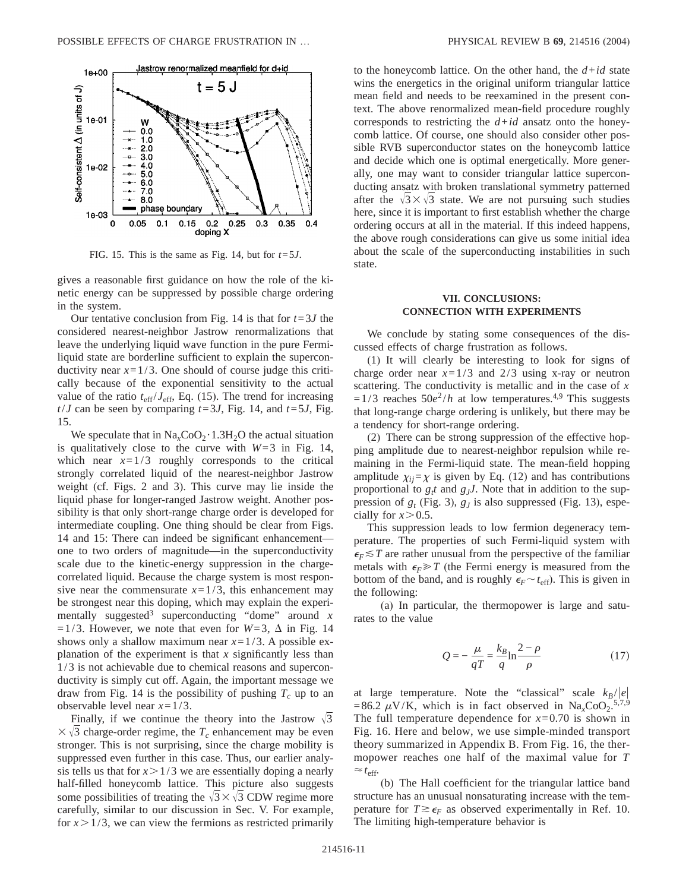

FIG. 15. This is the same as Fig. 14, but for *t*=5*J*.

gives a reasonable first guidance on how the role of the kinetic energy can be suppressed by possible charge ordering in the system.

Our tentative conclusion from Fig. 14 is that for *t*=3*J* the considered nearest-neighbor Jastrow renormalizations that leave the underlying liquid wave function in the pure Fermiliquid state are borderline sufficient to explain the superconductivity near  $x=1/3$ . One should of course judge this critically because of the exponential sensitivity to the actual value of the ratio  $t_{\text{eff}}/J_{\text{eff}}$ , Eq. (15). The trend for increasing  $t/J$  can be seen by comparing  $t=3J$ , Fig. 14, and  $t=5J$ , Fig. 15.

We speculate that in  $\text{Na}_{x}\text{CoO}_{2} \cdot 1.3\text{H}_{2}\text{O}$  the actual situation is qualitatively close to the curve with *W*=3 in Fig. 14, which near  $x=1/3$  roughly corresponds to the critical strongly correlated liquid of the nearest-neighbor Jastrow weight (cf. Figs. 2 and 3). This curve may lie inside the liquid phase for longer-ranged Jastrow weight. Another possibility is that only short-range charge order is developed for intermediate coupling. One thing should be clear from Figs. 14 and 15: There can indeed be significant enhancement one to two orders of magnitude—in the superconductivity scale due to the kinetic-energy suppression in the chargecorrelated liquid. Because the charge system is most responsive near the commensurate  $x=1/3$ , this enhancement may be strongest near this doping, which may explain the experimentally suggested<sup>3</sup> superconducting "dome" around  $x$  $=1/3$ . However, we note that even for *W*=3,  $\Delta$  in Fig. 14 shows only a shallow maximum near  $x=1/3$ . A possible explanation of the experiment is that  $x$  significantly less than 1/3 is not achievable due to chemical reasons and superconductivity is simply cut off. Again, the important message we draw from Fig. 14 is the possibility of pushing  $T_c$  up to an observable level near *x*=1/3.

Finally, if we continue the theory into the Jastrow  $\sqrt{3}$  $\times$   $\sqrt{3}$  charge-order regime, the *T<sub>c</sub>* enhancement may be even stronger. This is not surprising, since the charge mobility is suppressed even further in this case. Thus, our earlier analysis tells us that for  $x > 1/3$  we are essentially doping a nearly half-filled honeycomb lattice. This picture also suggests some possibilities of treating the  $\sqrt{3} \times \sqrt{3}$  CDW regime more carefully, similar to our discussion in Sec. V. For example, for  $x > 1/3$ , we can view the fermions as restricted primarily to the honeycomb lattice. On the other hand, the *d*+*id* state wins the energetics in the original uniform triangular lattice mean field and needs to be reexamined in the present context. The above renormalized mean-field procedure roughly corresponds to restricting the *d*+*id* ansatz onto the honeycomb lattice. Of course, one should also consider other possible RVB superconductor states on the honeycomb lattice and decide which one is optimal energetically. More generally, one may want to consider triangular lattice superconducting ansatz with broken translational symmetry patterned after the  $\sqrt{3} \times \sqrt{3}$  state. We are not pursuing such studies here, since it is important to first establish whether the charge ordering occurs at all in the material. If this indeed happens, the above rough considerations can give us some initial idea about the scale of the superconducting instabilities in such state.

## **VII. CONCLUSIONS: CONNECTION WITH EXPERIMENTS**

We conclude by stating some consequences of the discussed effects of charge frustration as follows.

(1) It will clearly be interesting to look for signs of charge order near  $x=1/3$  and  $2/3$  using x-ray or neutron scattering. The conductivity is metallic and in the case of *x*  $=1/3$  reaches  $50e^{2}/h$  at low temperatures.<sup>4,9</sup> This suggests that long-range charge ordering is unlikely, but there may be a tendency for short-range ordering.

(2) There can be strong suppression of the effective hopping amplitude due to nearest-neighbor repulsion while remaining in the Fermi-liquid state. The mean-field hopping amplitude  $\chi_{ij} = \chi$  is given by Eq. (12) and has contributions proportional to  $g_t t$  and  $g_y J$ . Note that in addition to the suppression of  $g_t$  (Fig. 3),  $g_J$  is also suppressed (Fig. 13), especially for  $x > 0.5$ .

This suppression leads to low fermion degeneracy temperature. The properties of such Fermi-liquid system with  $\epsilon_F \leq T$  are rather unusual from the perspective of the familiar metals with  $\epsilon_F \geq T$  (the Fermi energy is measured from the bottom of the band, and is roughly  $\epsilon_F \sim t_{\text{eff}}$ ). This is given in the following:

(a) In particular, the thermopower is large and saturates to the value

$$
Q = -\frac{\mu}{qT} = \frac{k_B}{q} \ln \frac{2-\rho}{\rho} \tag{17}
$$

at large temperature. Note the "classical" scale  $k_B/|e|$ =86.2  $\mu$ V/K, which is in fact observed in Na<sub>x</sub>CoO<sub>2</sub>.<sup>5,7,9</sup> The full temperature dependence for  $x=0.70$  is shown in Fig. 16. Here and below, we use simple-minded transport theory summarized in Appendix B. From Fig. 16, the thermopower reaches one half of the maximal value for *T*  $\approx t_{\text{eff}}$ .

(b) The Hall coefficient for the triangular lattice band structure has an unusual nonsaturating increase with the temperature for  $T \gtrsim \epsilon_F$  as observed experimentally in Ref. 10. The limiting high-temperature behavior is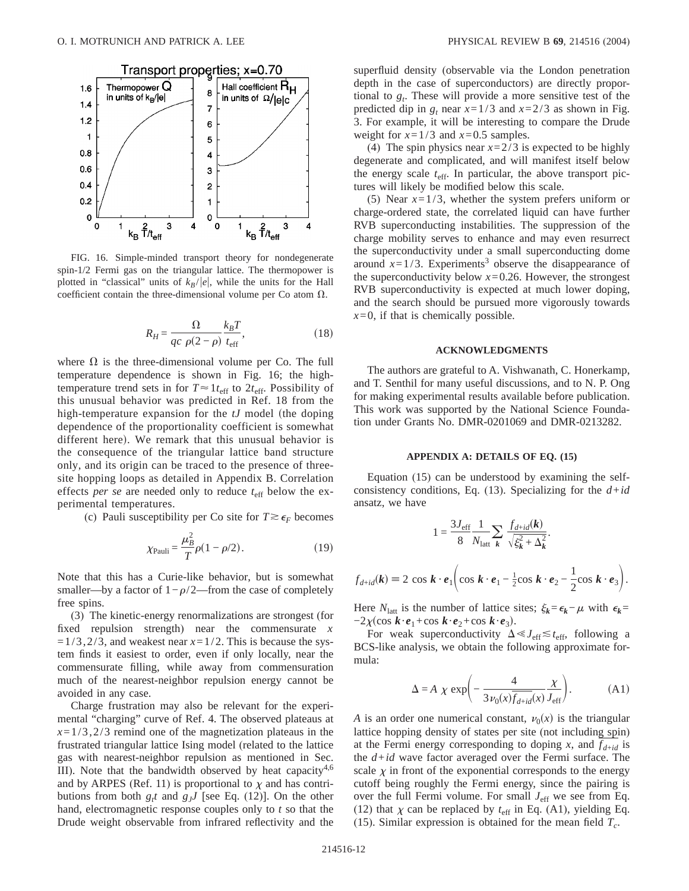

FIG. 16. Simple-minded transport theory for nondegenerate spin-1/2 Fermi gas on the triangular lattice. The thermopower is plotted in "classical" units of  $k_B/|e|$ , while the units for the Hall coefficient contain the three-dimensional volume per Co atom  $\Omega$ .

$$
R_H = \frac{\Omega}{qc \rho(2-\rho)} \frac{k_B T}{t_{\text{eff}}},\tag{18}
$$

where  $\Omega$  is the three-dimensional volume per Co. The full temperature dependence is shown in Fig. 16; the hightemperature trend sets in for  $T \approx 1 t_{\text{eff}}$  to  $2 t_{\text{eff}}$ . Possibility of this unusual behavior was predicted in Ref. 18 from the high-temperature expansion for the  $tJ$  model (the doping dependence of the proportionality coefficient is somewhat different here). We remark that this unusual behavior is the consequence of the triangular lattice band structure only, and its origin can be traced to the presence of threesite hopping loops as detailed in Appendix B. Correlation effects *per se* are needed only to reduce *t*eff below the experimental temperatures.

(c) Pauli susceptibility per Co site for  $T \gtrsim \epsilon_F$  becomes

$$
\chi_{\text{Pauli}} = \frac{\mu_B^2}{T} \rho (1 - \rho/2). \tag{19}
$$

Note that this has a Curie-like behavior, but is somewhat smaller—by a factor of  $1-\rho/2$ —from the case of completely free spins.

(3) The kinetic-energy renormalizations are strongest (for fixed repulsion strength) near the commensurate *x*  $=1/3, 2/3$ , and weakest near  $x=1/2$ . This is because the system finds it easiest to order, even if only locally, near the commensurate filling, while away from commensuration much of the nearest-neighbor repulsion energy cannot be avoided in any case.

Charge frustration may also be relevant for the experimental "charging" curve of Ref. 4. The observed plateaus at  $x=1/3$ ,  $2/3$  remind one of the magnetization plateaus in the frustrated triangular lattice Ising model (related to the lattice gas with nearest-neighbor repulsion as mentioned in Sec. III). Note that the bandwidth observed by heat capacity<sup>4,6</sup> and by ARPES (Ref. 11) is proportional to  $\chi$  and has contributions from both  $g_t t$  and  $g_t J$  [see Eq. (12)]. On the other hand, electromagnetic response couples only to *t* so that the Drude weight observable from infrared reflectivity and the superfluid density (observable via the London penetration depth in the case of superconductors) are directly proportional to  $g_t$ . These will provide a more sensitive test of the predicted dip in  $g_t$  near  $x=1/3$  and  $x=2/3$  as shown in Fig. 3. For example, it will be interesting to compare the Drude weight for  $x=1/3$  and  $x=0.5$  samples.

(4) The spin physics near  $x=2/3$  is expected to be highly degenerate and complicated, and will manifest itself below the energy scale  $t_{\text{eff}}$ . In particular, the above transport pictures will likely be modified below this scale.

(5) Near  $x=1/3$ , whether the system prefers uniform or charge-ordered state, the correlated liquid can have further RVB superconducting instabilities. The suppression of the charge mobility serves to enhance and may even resurrect the superconductivity under a small superconducting dome around  $x=1/3$ . Experiments<sup>3</sup> observe the disappearance of the superconductivity below  $x=0.26$ . However, the strongest RVB superconductivity is expected at much lower doping, and the search should be pursued more vigorously towards  $x=0$ , if that is chemically possible.

#### **ACKNOWLEDGMENTS**

The authors are grateful to A. Vishwanath, C. Honerkamp, and T. Senthil for many useful discussions, and to N. P. Ong for making experimental results available before publication. This work was supported by the National Science Foundation under Grants No. DMR-0201069 and DMR-0213282.

#### **APPENDIX A: DETAILS OF EQ. (15)**

Equation (15) can be understood by examining the selfconsistency conditions, Eq. (13). Specializing for the *d*+*id* ansatz, we have

$$
1 = \frac{3J_{\text{eff}}}{8} \frac{1}{N_{\text{latt}}} \sum_{k} \frac{f_{d+id}(k)}{\sqrt{\xi_k^2 + \Delta_k^2}}.
$$
  

$$
f_{d+id}(k) \equiv 2 \cos k \cdot e_1 \left( \cos k \cdot e_1 - \frac{1}{2} \cos k \cdot e_2 - \frac{1}{2} \cos k \cdot e_3 \right).
$$

Here  $N_{\text{latt}}$  is the number of lattice sites;  $\xi_k = \epsilon_k - \mu$  with  $\epsilon_k =$  $-2\chi(\cos k \cdot e_1 + \cos k \cdot e_2 + \cos k \cdot e_3).$ 

For weak superconductivity  $\Delta \ll J_{\text{eff}} \lesssim t_{\text{eff}}$ , following a BCS-like analysis, we obtain the following approximate formula:

$$
\Delta = A \chi \exp\left(-\frac{4}{3\nu_0(x)\overline{f_{d+id}}(x)}\frac{\chi}{J_{\text{eff}}}\right).
$$
 (A1)

*A* is an order one numerical constant,  $v_0(x)$  is the triangular lattice hopping density of states per site (not including spin) at the Fermi energy corresponding to doping *x*, and  $f_{d+id}$  is the  $d+id$  wave factor averaged over the Fermi surface. The scale  $\chi$  in front of the exponential corresponds to the energy cutoff being roughly the Fermi energy, since the pairing is over the full Fermi volume. For small  $J_{\text{eff}}$  we see from Eq. (12) that  $\chi$  can be replaced by  $t_{\text{eff}}$  in Eq. (A1), yielding Eq. (15). Similar expression is obtained for the mean field  $T_c$ .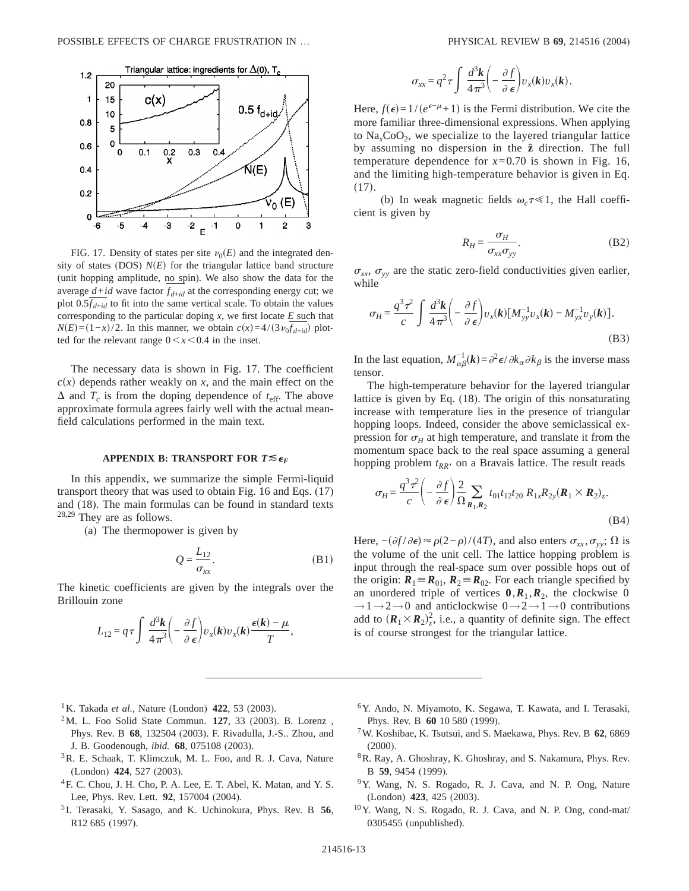

FIG. 17. Density of states per site  $\nu_0(E)$  and the integrated density of states (DOS)  $N(E)$  for the triangular lattice band structure (unit hopping amplitude, no spin). We also show the data for the average  $d + id$  wave factor  $f_{d+id}$  at the corresponding energy cut; we plot  $0.5f_{d+id}$  to fit into the same vertical scale. To obtain the values corresponding to the particular doping *x*, we first locate *E* such that  $N(E) = (1-x)/2$ . In this manner, we obtain  $c(x) = 4/(3v_0 f_{d+id})$  plotted for the relevant range  $0 < x < 0.4$  in the inset.

The necessary data is shown in Fig. 17. The coefficient  $c(x)$  depends rather weakly on *x*, and the main effect on the  $\Delta$  and  $T_c$  is from the doping dependence of  $t_{\text{eff}}$ . The above approximate formula agrees fairly well with the actual meanfield calculations performed in the main text.

## **APPENDIX B: TRANSPORT FOR**  $T \le \epsilon_F$

In this appendix, we summarize the simple Fermi-liquid transport theory that was used to obtain Fig. 16 and Eqs. (17) and (18). The main formulas can be found in standard texts 28,29 They are as follows.

(a) The thermopower is given by

$$
Q = \frac{L_{12}}{\sigma_{xx}}.\tag{B1}
$$

The kinetic coefficients are given by the integrals over the Brillouin zone

$$
L_{12} = q\tau \int \frac{d^3k}{4\pi^3} \left( -\frac{\partial f}{\partial \epsilon} \right) v_x(k) v_x(k) \frac{\epsilon(k) - \mu}{T},
$$

$$
\sigma_{xx} = q^2 \tau \int \frac{d^3k}{4\pi^3} \left( -\frac{\partial f}{\partial \epsilon} \right) v_x(k) v_x(k).
$$

Here,  $f(\epsilon)=1/(e^{\epsilon-\mu}+1)$  is the Fermi distribution. We cite the more familiar three-dimensional expressions. When applying to  $\text{Na}_x\text{CoO}_2$ , we specialize to the layered triangular lattice by assuming no dispersion in the **z**ˆ direction. The full temperature dependence for  $x=0.70$  is shown in Fig. 16, and the limiting high-temperature behavior is given in Eq.  $(17).$ 

(b) In weak magnetic fields  $\omega_c \tau \ll 1$ , the Hall coefficient is given by

$$
R_H = \frac{\sigma_H}{\sigma_{xx}\sigma_{yy}}.\tag{B2}
$$

 $\sigma_{xx}$ ,  $\sigma_{yy}$  are the static zero-field conductivities given earlier, while

$$
\sigma_H = \frac{q^3 \tau^2}{c} \int \frac{d^3 \mathbf{k}}{4 \pi^3} \left( -\frac{\partial f}{\partial \epsilon} \right) v_x(\mathbf{k}) \left[ M_{yy}^{-1} v_x(\mathbf{k}) - M_{yx}^{-1} v_y(\mathbf{k}) \right].
$$
\n(B3)

In the last equation,  $M_{\alpha\beta}^{-1}(k) = \partial^2 \epsilon / \partial k_\alpha \partial k_\beta$  is the inverse mass tensor.

The high-temperature behavior for the layered triangular lattice is given by Eq. (18). The origin of this nonsaturating increase with temperature lies in the presence of triangular hopping loops. Indeed, consider the above semiclassical expression for  $\sigma_H$  at high temperature, and translate it from the momentum space back to the real space assuming a general hopping problem  $t_{RR}$  on a Bravais lattice. The result reads

$$
\sigma_H = \frac{q^3 \tau^2}{c} \left( -\frac{\partial f}{\partial \epsilon} \right) \frac{2}{\Omega} \sum_{\mathbf{R}_1, \mathbf{R}_2} t_{01} t_{12} t_{20} R_{1x} R_{2y} (\mathbf{R}_1 \times \mathbf{R}_2)_z.
$$
\n(B4)

Here,  $-(\partial f/\partial \epsilon) \approx \rho(2-\rho)/(4T)$ , and also enters  $\sigma_{xx}, \sigma_{yy}$ ;  $\Omega$  is the volume of the unit cell. The lattice hopping problem is input through the real-space sum over possible hops out of the origin:  $R_1 \equiv R_{01}$ ,  $R_2 \equiv R_{02}$ . For each triangle specified by an unordered triple of vertices  $0, R_1, R_2$ , the clockwise 0  $\rightarrow$ 1 $\rightarrow$ 2 $\rightarrow$ 0 and anticlockwise 0 $\rightarrow$ 2 $\rightarrow$ 1 $\rightarrow$ 0 contributions add to  $(R_1 \times R_2)_z^2$ , i.e., a quantity of definite sign. The effect is of course strongest for the triangular lattice.

- 1K. Takada *et al.*, Nature (London) **422**, 53 (2003).
- 2M. L. Foo Solid State Commun. **127**, 33 (2003). B. Lorenz , Phys. Rev. B **68**, 132504 (2003). F. Rivadulla, J.-S.. Zhou, and J. B. Goodenough, *ibid.* **68**, 075108 (2003).
- 3R. E. Schaak, T. Klimczuk, M. L. Foo, and R. J. Cava, Nature (London) **424**, 527 (2003).
- 4F. C. Chou, J. H. Cho, P. A. Lee, E. T. Abel, K. Matan, and Y. S. Lee, Phys. Rev. Lett. **92**, 157004 (2004).
- <sup>5</sup> I. Terasaki, Y. Sasago, and K. Uchinokura, Phys. Rev. B **56**, R12 685 (1997).
- <sup>6</sup>Y. Ando, N. Miyamoto, K. Segawa, T. Kawata, and I. Terasaki, Phys. Rev. B **60** 10 580 (1999).
- 7W. Koshibae, K. Tsutsui, and S. Maekawa, Phys. Rev. B **62**, 6869  $(2000)$ .
- 8R. Ray, A. Ghoshray, K. Ghoshray, and S. Nakamura, Phys. Rev. B **59**, 9454 (1999).
- 9Y. Wang, N. S. Rogado, R. J. Cava, and N. P. Ong, Nature (London) **423**, 425 (2003).
- 10Y. Wang, N. S. Rogado, R. J. Cava, and N. P. Ong, cond-mat/ 0305455 (unpublished).